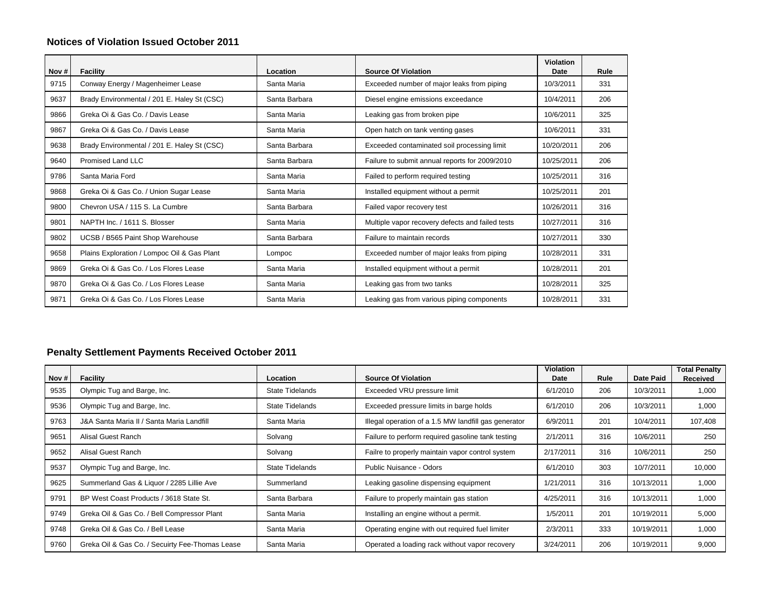## **Notices of Violation Issued October 2011**

| Nov $#$ | <b>Facility</b>                             | Location      | <b>Source Of Violation</b>                       | Violation<br>Date | Rule |
|---------|---------------------------------------------|---------------|--------------------------------------------------|-------------------|------|
| 9715    | Conway Energy / Magenheimer Lease           | Santa Maria   | Exceeded number of major leaks from piping       | 10/3/2011         | 331  |
| 9637    | Brady Environmental / 201 E. Haley St (CSC) | Santa Barbara | Diesel engine emissions exceedance               | 10/4/2011         | 206  |
| 9866    | Greka Oi & Gas Co. / Davis Lease            | Santa Maria   | Leaking gas from broken pipe                     | 10/6/2011         | 325  |
| 9867    | Greka Oi & Gas Co. / Davis Lease            | Santa Maria   | Open hatch on tank venting gases                 | 10/6/2011         | 331  |
| 9638    | Brady Environmental / 201 E. Haley St (CSC) | Santa Barbara | Exceeded contaminated soil processing limit      | 10/20/2011        | 206  |
| 9640    | Promised Land LLC                           | Santa Barbara | Failure to submit annual reports for 2009/2010   | 10/25/2011        | 206  |
| 9786    | Santa Maria Ford                            | Santa Maria   | Failed to perform required testing               | 10/25/2011        | 316  |
| 9868    | Greka Oi & Gas Co. / Union Sugar Lease      | Santa Maria   | Installed equipment without a permit             | 10/25/2011        | 201  |
| 9800    | Chevron USA / 115 S. La Cumbre              | Santa Barbara | Failed vapor recovery test                       | 10/26/2011        | 316  |
| 9801    | NAPTH Inc. / 1611 S. Blosser                | Santa Maria   | Multiple vapor recovery defects and failed tests | 10/27/2011        | 316  |
| 9802    | UCSB / B565 Paint Shop Warehouse            | Santa Barbara | Failure to maintain records                      | 10/27/2011        | 330  |
| 9658    | Plains Exploration / Lompoc Oil & Gas Plant | Lompoc        | Exceeded number of major leaks from piping       | 10/28/2011        | 331  |
| 9869    | Greka Oi & Gas Co. / Los Flores Lease       | Santa Maria   | Installed equipment without a permit             | 10/28/2011        | 201  |
| 9870    | Greka Oi & Gas Co. / Los Flores Lease       | Santa Maria   | Leaking gas from two tanks                       | 10/28/2011        | 325  |
| 9871    | Greka Oi & Gas Co. / Los Flores Lease       | Santa Maria   | Leaking gas from various piping components       | 10/28/2011        | 331  |

## **Penalty Settlement Payments Received October 2011**

| Nov # | Facility                                        | Location               | <b>Source Of Violation</b>                           | <b>Violation</b><br>Date | Rule | Date Paid  | <b>Total Penalty</b><br>Received |
|-------|-------------------------------------------------|------------------------|------------------------------------------------------|--------------------------|------|------------|----------------------------------|
| 9535  | Olympic Tug and Barge, Inc.                     | <b>State Tidelands</b> | Exceeded VRU pressure limit                          | 6/1/2010                 | 206  | 10/3/2011  | 1,000                            |
| 9536  | Olympic Tug and Barge, Inc.                     | <b>State Tidelands</b> | Exceeded pressure limits in barge holds              | 6/1/2010                 | 206  | 10/3/2011  | 1,000                            |
| 9763  | J&A Santa Maria II / Santa Maria Landfill       | Santa Maria            | Illegal operation of a 1.5 MW landfill gas generator | 6/9/2011                 | 201  | 10/4/2011  | 107,408                          |
| 9651  | Alisal Guest Ranch                              | Solvang                | Failure to perform required gasoline tank testing    | 2/1/2011                 | 316  | 10/6/2011  | 250                              |
| 9652  | Alisal Guest Ranch                              | Solvang                | Failre to properly maintain vapor control system     | 2/17/2011                | 316  | 10/6/2011  | 250                              |
| 9537  | Olympic Tug and Barge, Inc.                     | <b>State Tidelands</b> | Public Nuisance - Odors                              | 6/1/2010                 | 303  | 10/7/2011  | 10,000                           |
| 9625  | Summerland Gas & Liquor / 2285 Lillie Ave       | Summerland             | Leaking gasoline dispensing equipment                | 1/21/2011                | 316  | 10/13/2011 | 1,000                            |
| 9791  | BP West Coast Products / 3618 State St.         | Santa Barbara          | Failure to properly maintain gas station             | 4/25/2011                | 316  | 10/13/2011 | 1,000                            |
| 9749  | Greka Oil & Gas Co. / Bell Compressor Plant     | Santa Maria            | Installing an engine without a permit.               | 1/5/2011                 | 201  | 10/19/2011 | 5,000                            |
| 9748  | Greka Oil & Gas Co. / Bell Lease                | Santa Maria            | Operating engine with out required fuel limiter      | 2/3/2011                 | 333  | 10/19/2011 | 1,000                            |
| 9760  | Greka Oil & Gas Co. / Secuirty Fee-Thomas Lease | Santa Maria            | Operated a loading rack without vapor recovery       | 3/24/2011                | 206  | 10/19/2011 | 9,000                            |